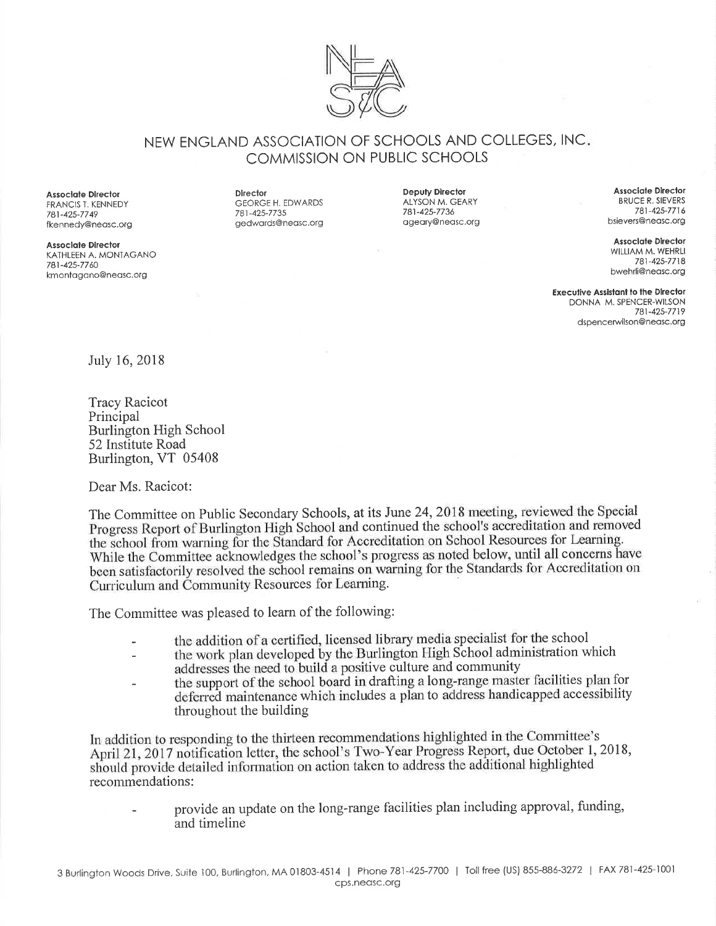

NEW ENGLAND ASSOCIATION OF SCHOOLS AND COLLEGES, INC COMMISSION ON PUBLIC SCHOOLS

**Associate Director** FRANCIS T. KENNEDY 781-425-7749 fkennedy@neosc.org

Assoclate Director KATHLEEN A. MONTAGANO 781-425-7760 kmontogono@neosc.org

Direclor GEORGE H. EDWARDS 781-425-7735 gedwords@neosc.org

Deputy Director ALYSON M. GEARY 781-425-7736 ogeory@neosc.org

Associate Director BRUCE R. SIEVERS 781 -425-77 1 6 bsievers@neosc.org

**Assoclate Director** WILLIAM M. WEHRLI 781-425-7718 bwehrli@neosc.org

Executive Assistant to the Director DONNA M. SPENCER-WILSON 781-425-7719 dspencerwilson@neasc.org

July 16, 2018

Tracy Racicot Principal Burlington High School 52 Institute Road Burlington, VT 05408

Dear Ms. Racicot:

The Committee on Public Secondary Schools, at its June 24,2018 meeting, reviewed the Special. Progress Report of Burlington High School and continued the school's accreditation and removed the school from warning for the Standard for Accreditation on School Resources for Learning. While the Committee acknowledges the school's progress as noted below, until all concerns have been satisfactorily resolved the school remains on warning for the Standards for Accreditation on Curriculum and Community Resources for Learning.

The Committee was pleased to learn of the following:

- the addition of a certified, licensed library media specialist for the school
- the work plan developed by the Burlington High School administration which addresses the need to build a positive culture and community the support of the school board in drafting a long-range master facilities plan for deferred maintenance which includes a plan to address handicapped accessibility throughout the building

In addition to responding to the thirteen recommendations highlighted in the Committee's April 21, 2017 notification letter, the school's Two-Year Progress Report, due October 1, 2018, should provide detailed information on action taken to address the additional highlighted recommendations:

provide an update on the long-range facilities plan including approval, funding, and timeline